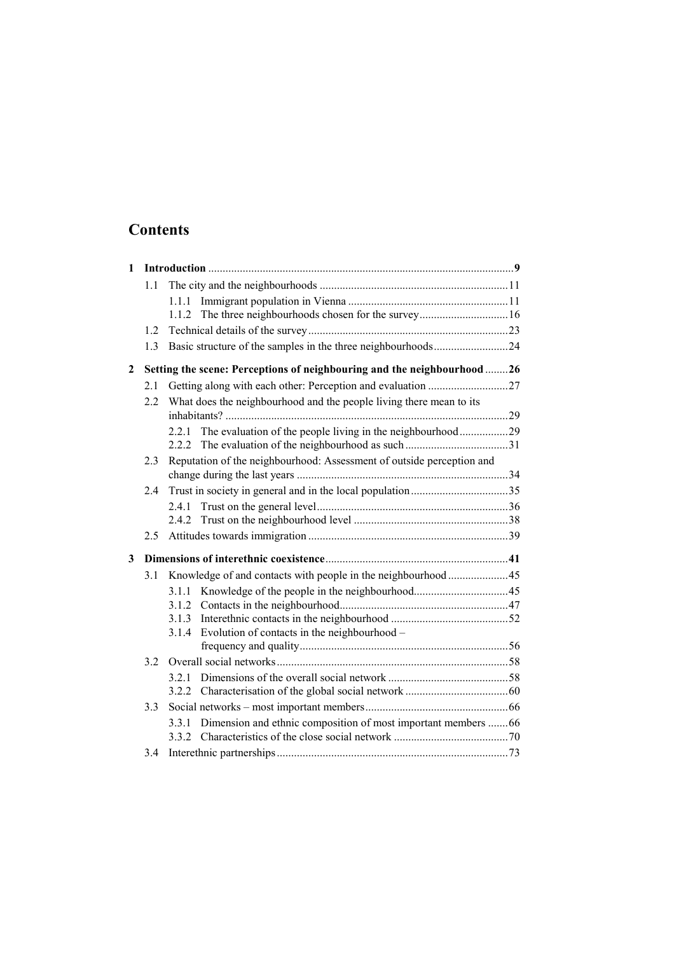## **Contents**

| $\mathbf{1}$ |                                                                         |                                                                     |                                                                       |  |  |
|--------------|-------------------------------------------------------------------------|---------------------------------------------------------------------|-----------------------------------------------------------------------|--|--|
|              | 1.1                                                                     |                                                                     |                                                                       |  |  |
|              |                                                                         | 1.1.1                                                               |                                                                       |  |  |
|              |                                                                         |                                                                     |                                                                       |  |  |
|              | 1.2                                                                     |                                                                     |                                                                       |  |  |
|              | 1.3                                                                     |                                                                     | Basic structure of the samples in the three neighbourhoods24          |  |  |
| 2            | Setting the scene: Perceptions of neighbouring and the neighbourhood 26 |                                                                     |                                                                       |  |  |
|              | 2.1                                                                     |                                                                     |                                                                       |  |  |
|              | 2.2                                                                     | What does the neighbourhood and the people living there mean to its |                                                                       |  |  |
|              |                                                                         |                                                                     | 2.2.1 The evaluation of the people living in the neighbourhood29      |  |  |
|              |                                                                         |                                                                     |                                                                       |  |  |
|              | 2.3                                                                     |                                                                     | Reputation of the neighbourhood: Assessment of outside perception and |  |  |
|              |                                                                         |                                                                     |                                                                       |  |  |
|              | 2.4                                                                     |                                                                     |                                                                       |  |  |
|              |                                                                         |                                                                     |                                                                       |  |  |
|              |                                                                         | 2.4.2                                                               |                                                                       |  |  |
|              | 2.5                                                                     |                                                                     |                                                                       |  |  |
| 3            |                                                                         |                                                                     |                                                                       |  |  |
|              | 3.1                                                                     |                                                                     | Knowledge of and contacts with people in the neighbourhood  45        |  |  |
|              |                                                                         |                                                                     |                                                                       |  |  |
|              |                                                                         |                                                                     |                                                                       |  |  |
|              |                                                                         | 3.1.3                                                               |                                                                       |  |  |
|              |                                                                         | 3.1.4                                                               | Evolution of contacts in the neighbourhood -                          |  |  |
|              |                                                                         |                                                                     |                                                                       |  |  |
|              | 32                                                                      |                                                                     |                                                                       |  |  |
|              |                                                                         | 3.2.1                                                               |                                                                       |  |  |
|              |                                                                         |                                                                     |                                                                       |  |  |
|              | 3.3                                                                     |                                                                     |                                                                       |  |  |
|              |                                                                         | 3.3.1                                                               | Dimension and ethnic composition of most important members 66         |  |  |
|              |                                                                         |                                                                     |                                                                       |  |  |
|              | 3.4                                                                     |                                                                     |                                                                       |  |  |